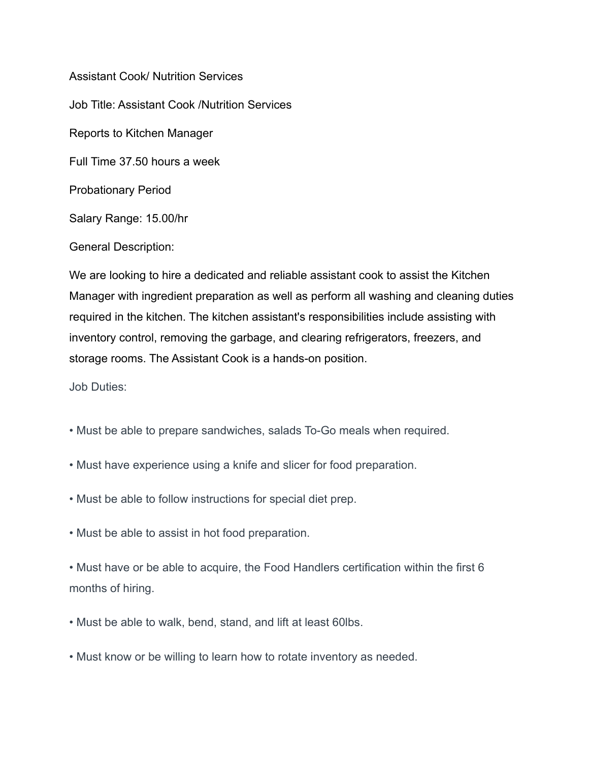Assistant Cook/ Nutrition Services Job Title: Assistant Cook /Nutrition Services Reports to Kitchen Manager Full Time 37.50 hours a week Probationary Period Salary Range: 15.00/hr

General Description:

We are looking to hire a dedicated and reliable assistant cook to assist the Kitchen Manager with ingredient preparation as well as perform all washing and cleaning duties required in the kitchen. The kitchen assistant's responsibilities include assisting with inventory control, removing the garbage, and clearing refrigerators, freezers, and storage rooms. The Assistant Cook is a hands-on position.

Job Duties:

- Must be able to prepare sandwiches, salads To-Go meals when required.
- Must have experience using a knife and slicer for food preparation.
- Must be able to follow instructions for special diet prep.
- Must be able to assist in hot food preparation.

• Must have or be able to acquire, the Food Handlers certification within the first 6 months of hiring.

- Must be able to walk, bend, stand, and lift at least 60lbs.
- Must know or be willing to learn how to rotate inventory as needed.